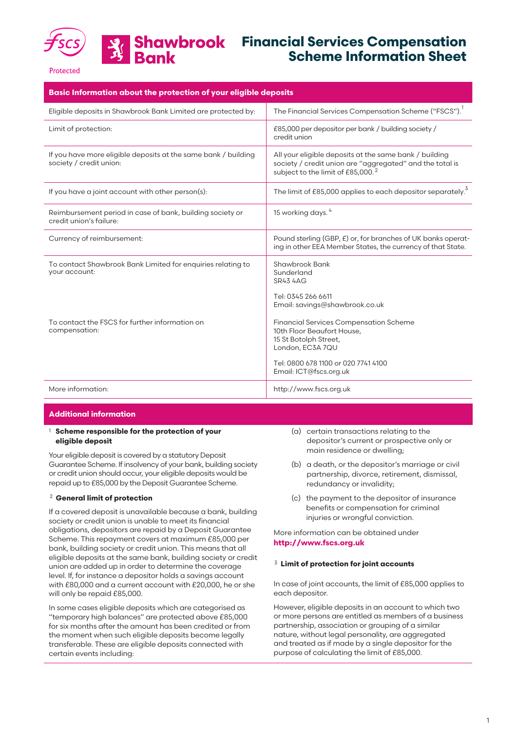

# **Financial Services Compensation Scheme Information Sheet**

|  | Protected |  |  |
|--|-----------|--|--|
|  |           |  |  |

| Basic Information about the protection of your eligible deposits                                                                                |                                                                                                                                                                                                                                                                                                      |  |  |  |  |
|-------------------------------------------------------------------------------------------------------------------------------------------------|------------------------------------------------------------------------------------------------------------------------------------------------------------------------------------------------------------------------------------------------------------------------------------------------------|--|--|--|--|
| Eligible deposits in Shawbrook Bank Limited are protected by:                                                                                   | The Financial Services Compensation Scheme ("FSCS").                                                                                                                                                                                                                                                 |  |  |  |  |
| Limit of protection:                                                                                                                            | £85,000 per depositor per bank / building society /<br>credit union                                                                                                                                                                                                                                  |  |  |  |  |
| If you have more eligible deposits at the same bank / building<br>society / credit union:                                                       | All your eligible deposits at the same bank / building<br>society / credit union are "aggregated" and the total is<br>subject to the limit of £85,000. <sup>2</sup>                                                                                                                                  |  |  |  |  |
| If you have a joint account with other person(s):                                                                                               | The limit of £85,000 applies to each depositor separately. <sup>5</sup>                                                                                                                                                                                                                              |  |  |  |  |
| Reimbursement period in case of bank, building society or<br>credit union's failure:                                                            | 15 working days. <sup>4</sup>                                                                                                                                                                                                                                                                        |  |  |  |  |
| Currency of reimbursement:                                                                                                                      | Pound sterling (GBP, £) or, for branches of UK banks operat-<br>ing in other EEA Member States, the currency of that State.                                                                                                                                                                          |  |  |  |  |
| To contact Shawbrook Bank Limited for enquiries relating to<br>your account:<br>To contact the FSCS for further information on<br>compensation: | Shawbrook Bank<br>Sunderland<br><b>SR43 4AG</b><br>Tel: 0345 266 6611<br>Email: savings@shawbrook.co.uk<br><b>Financial Services Compensation Scheme</b><br>10th Floor Beaufort House,<br>15 St Botolph Street,<br>London, EC3A 7QU<br>Tel: 0800 678 1100 or 020 7741 4100<br>Email: ICT@fscs.org.uk |  |  |  |  |
| More information:                                                                                                                               | http://www.fscs.org.uk                                                                                                                                                                                                                                                                               |  |  |  |  |

### **Additional information**

## **Scheme responsible for the protection of your**  1 **eligible deposit**

Your eligible deposit is covered by a statutory Deposit Guarantee Scheme. If insolvency of your bank, building society or credit union should occur, your eligible deposits would be repaid up to £85,000 by the Deposit Guarantee Scheme.

### <sup>2</sup> General limit of protection

If a covered deposit is unavailable because a bank, building society or credit union is unable to meet its financial obligations, depositors are repaid by a Deposit Guarantee Scheme. This repayment covers at maximum £85,000 per bank, building society or credit union. This means that all eligible deposits at the same bank, building society or credit union are added up in order to determine the coverage level. If, for instance a depositor holds a savings account with £80,000 and a current account with £20,000, he or she will only be repaid £85,000.

In some cases eligible deposits which are categorised as "temporary high balances" are protected above £85,000 for six months after the amount has been credited or from the moment when such eligible deposits become legally transferable. These are eligible deposits connected with certain events including:

- (a) certain transactions relating to the depositor's current or prospective only or main residence or dwelling;
- (b) a death, or the depositor's marriage or civil partnership, divorce, retirement, dismissal, redundancy or invalidity;
- (c) the payment to the depositor of insurance benefits or compensation for criminal injuries or wrongful conviction.

More information can be obtained under **http://www.fscs.org.uk**

#### **Limit of protection for joint accounts** 3

In case of joint accounts, the limit of £85,000 applies to each depositor.

However, eligible deposits in an account to which two or more persons are entitled as members of a business partnership, association or grouping of a similar nature, without legal personality, are aggregated and treated as if made by a single depositor for the purpose of calculating the limit of £85,000.